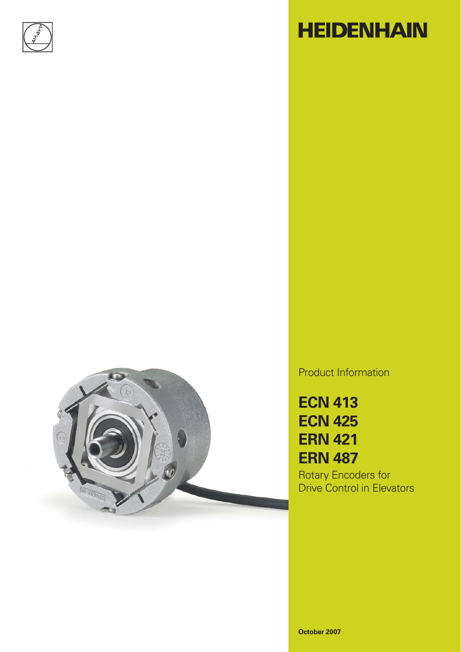

# **HEIDENHAIN**



Product Information

**ECN 413 ECN 425 ERN 421 ERN 487**

Rotary Encoders for Drive Control in Elevators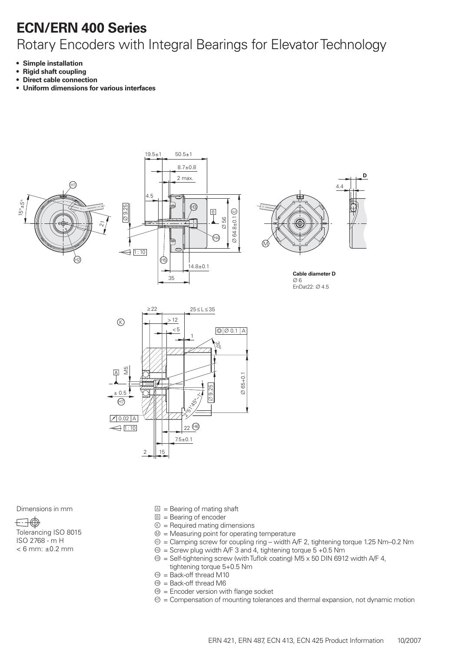## **ECN/ERN 400 Series**

### Rotary Encoders with Integral Bearings for Elevator Technology

- **Simple installation •**
- **Rigid shaft coupling •**
- **Direct cable connection •**
- **Uniform dimensions for various interfaces •**







**Cable diameter D**  $\varnothing$  6  $EnDot22:  $\varnothing$  4.5$ 



 $\boxdot \oplus$ 

Tolerancing ISO 8015 ISO 2768 - m H  $< 6$  mm:  $\pm 0.2$  mm

- Dimensions in mm  $\Box$  = Bearing of mating shaft
	- $B =$  Bearing of encoder
	- $\circledR$  = Required mating dimensions
	- $\mathcal{D}$  = Measuring point for operating temperature
	- $\circledast$  = Clamping screw for coupling ring width A/F 2, tightening torque 1.25 Nm–0.2 Nm
	- $\circledR$  = Screw plug width A/F 3 and 4, tightening torque 5 +0.5 Nm
	- $\circledast$  = Self-tightening screw (with Tuflok coating) M5 x 50 DIN 6912 width A/F 4, tightening torque 5+0.5 Nm
	- $<sup>4</sup>$  = Back-off thread M10</sup>
	- $\circledast$  = Back-off thread M6
	- $\Theta$  = Encoder version with flange socket
	- $\mathcal{D}$  = Compensation of mounting tolerances and thermal expansion, not dynamic motion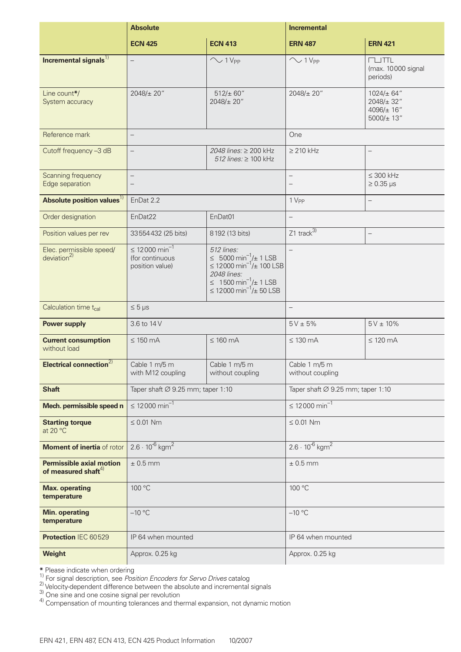|                                                          | <b>Absolute</b>                                                      |                                                                                                                                                                                    | <b>Incremental</b>                            |                                                               |  |  |  |
|----------------------------------------------------------|----------------------------------------------------------------------|------------------------------------------------------------------------------------------------------------------------------------------------------------------------------------|-----------------------------------------------|---------------------------------------------------------------|--|--|--|
|                                                          | <b>ECN 425</b>                                                       | <b>ECN 413</b>                                                                                                                                                                     | <b>ERN 487</b>                                | <b>ERN 421</b>                                                |  |  |  |
| Incremental signals <sup>1)</sup>                        | $\overline{\phantom{0}}$                                             | $\sim$ 1 V <sub>PP</sub>                                                                                                                                                           | $\sim$ 1 V <sub>PP</sub>                      | $T \cup TTL$<br>(max. 10000 signal<br>periods)                |  |  |  |
| Line count*/<br>System accuracy                          | 2048/± 20"                                                           | $512/\pm 60''$<br>2048/± 20"                                                                                                                                                       | 2048/± 20"                                    | $1024/\pm 64$ "<br>2048/± 32"<br>4096/±16"<br>$5000/\pm 13''$ |  |  |  |
| Reference mark                                           | $\overline{\phantom{0}}$                                             |                                                                                                                                                                                    | One                                           |                                                               |  |  |  |
| Cutoff frequency -3 dB                                   | $\overline{\phantom{0}}$                                             | 2048 lines: ≥ 200 kHz<br>$512$ lines: $\geq 100$ kHz                                                                                                                               | $\geq$ 210 kHz                                | $\overline{\phantom{0}}$                                      |  |  |  |
| Scanning frequency<br>Edge separation                    | $\qquad \qquad -$<br>$\qquad \qquad -$                               |                                                                                                                                                                                    | $\qquad \qquad -$<br>$\overline{\phantom{m}}$ | $\leq 300$ kHz<br>$\geq 0.35$ µs                              |  |  |  |
| Absolute position values <sup>1)</sup>                   | EnDat 2.2                                                            |                                                                                                                                                                                    | 1 V <sub>PP</sub>                             | $\overline{\phantom{0}}$                                      |  |  |  |
| Order designation                                        | EnDat22                                                              | EnDat01                                                                                                                                                                            | $\qquad \qquad -$                             |                                                               |  |  |  |
| Position values per rev                                  | 33554432 (25 bits)                                                   | 8192 (13 bits)                                                                                                                                                                     | Z1 track $\overline{3}$                       | $\qquad \qquad -$                                             |  |  |  |
| Elec. permissible speed/<br>deviation <sup>2</sup>       | $\leq 12000$ min <sup>-1</sup><br>(for continuous<br>position value) | 512 lines:<br>≤ 5000 min <sup>-1</sup> /± 1 LSB<br>≤ 12000 min <sup>-1</sup> /± 100 LSB<br>2048 lines:<br>≤ 1500 min <sup>-1</sup> /± 1 LSB<br>≤ 12000 min <sup>-1</sup> /± 50 LSB |                                               |                                                               |  |  |  |
| Calculation time t <sub>cal</sub>                        | $\leq 5 \,\mu s$                                                     |                                                                                                                                                                                    | $\qquad \qquad -$                             |                                                               |  |  |  |
| <b>Power supply</b>                                      | 3.6 to 14 V                                                          |                                                                                                                                                                                    | $5V \pm 5%$                                   | $5V \pm 10\%$                                                 |  |  |  |
| <b>Current consumption</b><br>without load               | $\leq 150$ mA                                                        | $\leq 160$ mA                                                                                                                                                                      | $\leq$ 130 mA                                 | $\leq 120$ mA                                                 |  |  |  |
| Electrical connection $\overline{2)}$                    | Cable 1 m/5 m<br>with M12 coupling                                   | Cable 1 m/5 m<br>without coupling                                                                                                                                                  | Cable 1 m/5 m<br>without coupling             |                                                               |  |  |  |
| <b>Shaft</b>                                             | Taper shaft $\varnothing$ 9.25 mm; taper 1:10                        |                                                                                                                                                                                    | Taper shaft $\varnothing$ 9.25 mm; taper 1:10 |                                                               |  |  |  |
| Mech. permissible speed n                                | $\leq 12000$ min <sup>-1</sup>                                       |                                                                                                                                                                                    | $\leq 12000 \text{ min}^{-1}$                 |                                                               |  |  |  |
| <b>Starting torque</b><br>at 20 $\degree$ C              | $\leq 0.01$ Nm                                                       |                                                                                                                                                                                    | $\leq 0.01$ Nm                                |                                                               |  |  |  |
| Moment of inertia of rotor                               | $2.6 \cdot 10^{-6}$ kgm <sup>2</sup>                                 |                                                                                                                                                                                    | $2.6 \cdot 10^{-6}$ kgm <sup>2</sup>          |                                                               |  |  |  |
| <b>Permissible axial motion</b><br>of measured shaft $4$ | $± 0.5$ mm                                                           |                                                                                                                                                                                    | $\pm$ 0.5 mm                                  |                                                               |  |  |  |
| <b>Max. operating</b><br>temperature                     | 100 °C                                                               |                                                                                                                                                                                    | 100 °C                                        |                                                               |  |  |  |
| <b>Min. operating</b><br>temperature                     | $-10$ °C                                                             |                                                                                                                                                                                    | $-10$ °C                                      |                                                               |  |  |  |
| Protection IEC 60529                                     | IP 64 when mounted                                                   |                                                                                                                                                                                    | IP 64 when mounted                            |                                                               |  |  |  |
| <b>Weight</b>                                            | Approx. 0.25 kg                                                      |                                                                                                                                                                                    | Approx. 0.25 kg                               |                                                               |  |  |  |

\* Please indicate when ordering<br><sup>1)</sup> For signal description, see *Position Encoders for Servo Drives* catalog<br><sup>2)</sup> Velocity-dependent difference between the absolute and incremental signals

 $3$ ) One sine and one cosine signal per revolution

 $4)$  Compensation of mounting tolerances and thermal expansion, not dynamic motion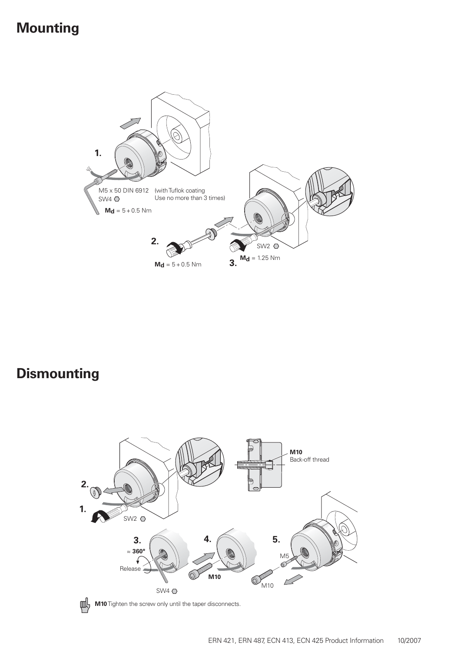### **Mounting**



### **Dismounting**





**M10** Tighten the screw only until the taper disconnects.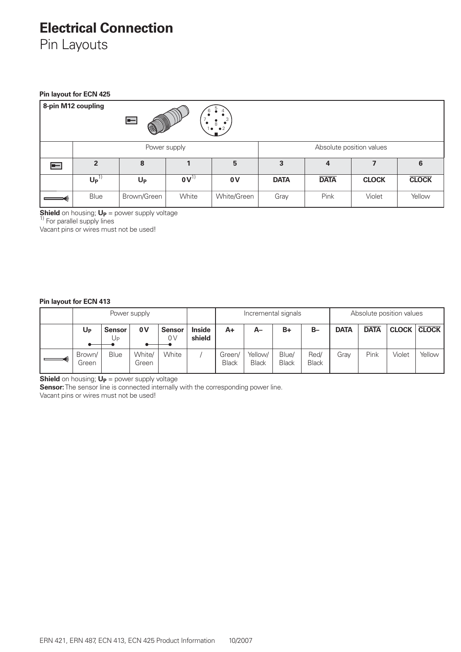### **Electrical Connection**

Pin Layouts

#### **Pin layout for ECN 425**

| 8-pin M12 coupling<br>6<br>⊫<br>$\bullet^3$<br>8<br>$1 \bullet \bullet 2$ |                 |             |              |             |                          |             |                          |              |  |  |
|---------------------------------------------------------------------------|-----------------|-------------|--------------|-------------|--------------------------|-------------|--------------------------|--------------|--|--|
|                                                                           |                 |             | Power supply |             | Absolute position values |             |                          |              |  |  |
| l=—                                                                       | $\overline{2}$  | 8           |              | 5           | 3                        | 4           | $\overline{\phantom{a}}$ | 6            |  |  |
|                                                                           | Up <sup>1</sup> | $U_{P}$     | $0V^{1}$     | 0V          | <b>DATA</b>              | <b>DATA</b> | <b>CLOCK</b>             | <b>CLOCK</b> |  |  |
|                                                                           | <b>Blue</b>     | Brown/Green | White        | White/Green | Gray                     | Pink        | Violet                   | Yellow       |  |  |

**Shield** on housing; **U<sub>P</sub>** = power supply voltage <sup>1)</sup> For parallel supply lines

Vacant pins or wires must not be used!

#### **Pin layout for ECN 413**

| Power supply    |                      |                 |                     |                         | Incremental signals    |                         |                       |                      | Absolute position values |             |              |              |
|-----------------|----------------------|-----------------|---------------------|-------------------------|------------------------|-------------------------|-----------------------|----------------------|--------------------------|-------------|--------------|--------------|
| U <sub>P</sub>  | <b>Sensor</b><br>UP. | 0 V             | <b>Sensor</b><br>0V | <b>Inside</b><br>shield | A+                     | A–                      | $B+$                  | $B -$                | <b>DATA</b>              | <b>DATA</b> | <b>CLOCK</b> | <b>CLOCK</b> |
| Brown/<br>Green | <b>Blue</b>          | White/<br>Green | White               |                         | Green/<br><b>Black</b> | Yellow/<br><b>Black</b> | Blue/<br><b>Black</b> | Red/<br><b>Black</b> | Grav                     | Pink        | Violet       | Yellow       |

**Shield** on housing; **U<sub>P</sub>** = power supply voltage

**Sensor:** The sensor line is connected internally with the corresponding power line.

Vacant pins or wires must not be used!